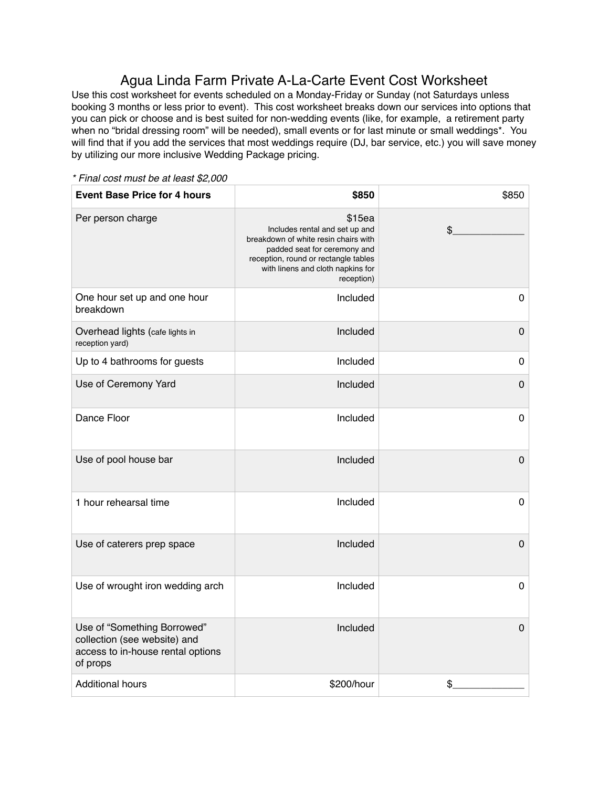## Agua Linda Farm Private A-La-Carte Event Cost Worksheet

Use this cost worksheet for events scheduled on a Monday-Friday or Sunday (not Saturdays unless booking 3 months or less prior to event). This cost worksheet breaks down our services into options that you can pick or choose and is best suited for non-wedding events (like, for example, a retirement party when no "bridal dressing room" will be needed), small events or for last minute or small weddings\*. You will find that if you add the services that most weddings require (DJ, bar service, etc.) you will save money by utilizing our more inclusive Wedding Package pricing.

**Event Base Price for 4 hours 1998 <b>\$850 \$850** \$850 Per person charge \$15ea Includes rental and set up and breakdown of white resin chairs with padded seat for ceremony and reception, round or rectangle tables with linens and cloth napkins for reception) \$\_\_\_\_\_\_\_\_\_\_\_\_\_ One hour set up and one hour breakdown Included 0 Overhead lights (cafe lights in reception yard) Included 0 Up to 4 bathrooms for guests and the local development of the local development of  $\sim$  0 Use of Ceremony Yard **Included 0** Dance Floor Included 0 Use of pool house bar **Included** 0 1 hour rehearsal time **Included 1 hour rehearsal time 1 1 hour rehearsal time 1 1** Use of caterers prep space Included 0 Use of wrought iron wedding arch **Included 0 Included** 0 Use of "Something Borrowed" collection (see website) and access to in-house rental options of props Included 0 Additional hours the state of the second second second second second second second second second second second s

*\* Final cost must be at least \$2,000*